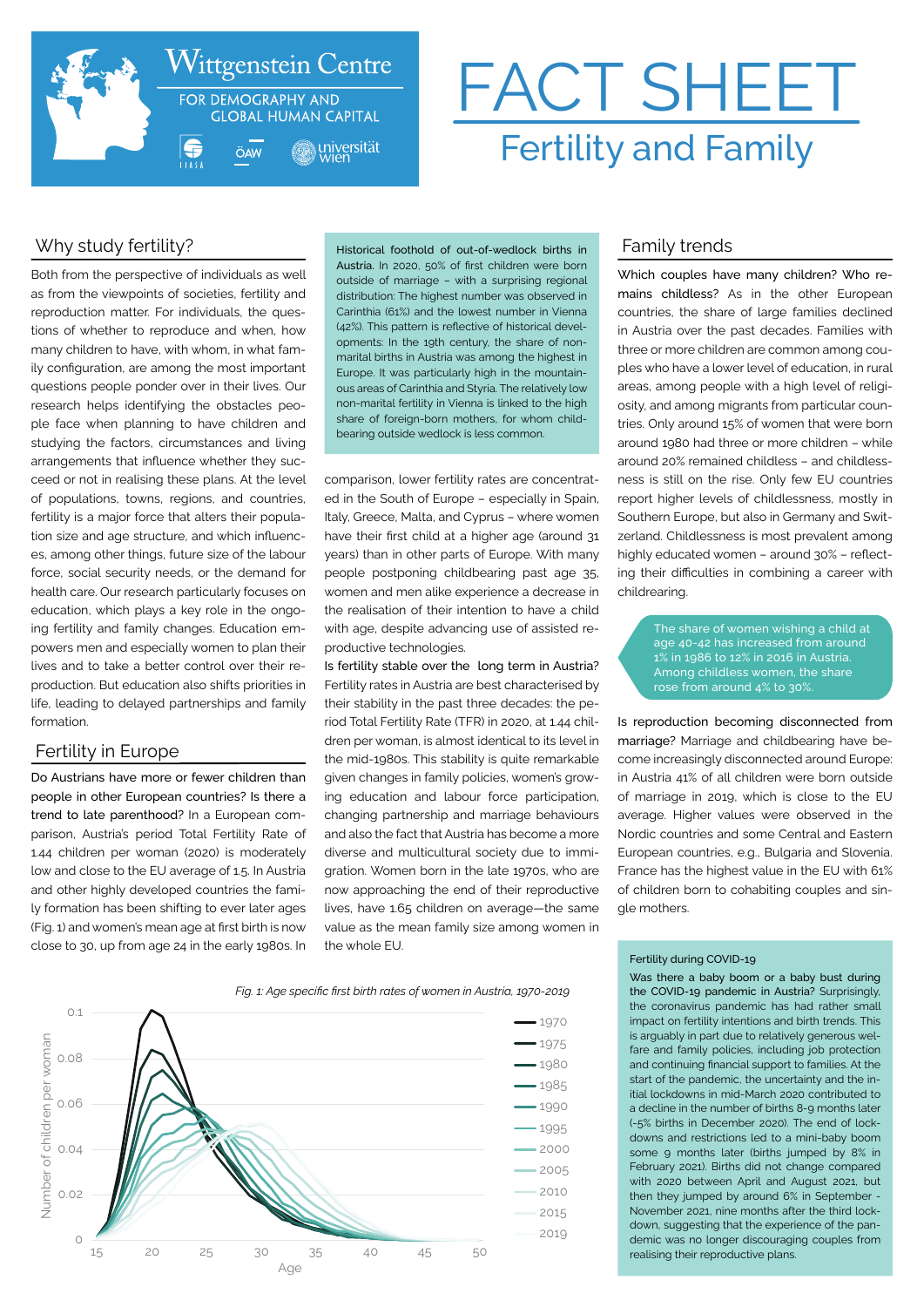

# FACT SHEET Fertility and Family

# Why study fertility?

Both from the perspective of individuals as well as from the viewpoints of societies, fertility and reproduction matter. For individuals, the questions of whether to reproduce and when, how many children to have, with whom, in what family configuration, are among the most important questions people ponder over in their lives. Our research helps identifying the obstacles people face when planning to have children and studying the factors, circumstances and living arrangements that influence whether they succeed or not in realising these plans. At the level of populations, towns, regions, and countries, fertility is a major force that alters their population size and age structure, and which influences, among other things, future size of the labour force, social security needs, or the demand for health care. Our research particularly focuses on education, which plays a key role in the ongoing fertility and family changes. Education empowers men and especially women to plan their lives and to take a better control over their reproduction. But education also shifts priorities in life, leading to delayed partnerships and family formation.

## Fertility in Europe

Do Austrians have more or fewer children than people in other European countries? Is there a trend to late parenthood? In a European comparison, Austria's period Total Fertility Rate of 1.44 children per woman (2020) is moderately low and close to the EU average of 1.5. In Austria and other highly developed countries the family formation has been shifting to ever later ages (Fig. 1) and women's mean age at first birth is now close to 30, up from age 24 in the early 1980s. In Historical foothold of out-of-wedlock births in Austria. In 2020, 50% of first children were born outside of marriage – with a surprising regional distribution: The highest number was observed in Carinthia (61%) and the lowest number in Vienna (42%). This pattern is reflective of historical developments: In the 19th century, the share of nonmarital births in Austria was among the highest in Europe. It was particularly high in the mountainous areas of Carinthia and Styria. The relatively low non-marital fertility in Vienna is linked to the high share of foreign-born mothers, for whom childbearing outside wedlock is less common.

comparison, lower fertility rates are concentrated in the South of Europe – especially in Spain, Italy, Greece, Malta, and Cyprus – where women have their first child at a higher age (around 31 years) than in other parts of Europe. With many people postponing childbearing past age 35, women and men alike experience a decrease in the realisation of their intention to have a child with age, despite advancing use of assisted reproductive technologies.

Is fertility stable over the long term in Austria? Fertility rates in Austria are best characterised by their stability in the past three decades: the period Total Fertility Rate (TFR) in 2020, at 1.44 children per woman, is almost identical to its level in the mid-1980s. This stability is quite remarkable given changes in family policies, women's growing education and labour force participation, changing partnership and marriage behaviours and also the fact that Austria has become a more diverse and multicultural society due to immigration. Women born in the late 1970s, who are now approaching the end of their reproductive lives, have 1.65 children on average—the same value as the mean family size among women in the whole EU.

# Family trends

Which couples have many children? Who remains childless? As in the other European countries, the share of large families declined in Austria over the past decades. Families with three or more children are common among couples who have a lower level of education, in rural areas, among people with a high level of religiosity, and among migrants from particular countries. Only around 15% of women that were born around 1980 had three or more children – while around 20% remained childless – and childlessness is still on the rise. Only few EU countries report higher levels of childlessness, mostly in Southern Europe, but also in Germany and Switzerland. Childlessness is most prevalent among highly educated women – around 30% – reflecting their difficulties in combining a career with childrearing.

> The share of women wishing a child at age 40-42 has increased from around 1% in 1986 to 12% in 2016 in Austria. rose from around 4% to 30%.

Is reproduction becoming disconnected from marriage? Marriage and childbearing have become increasingly disconnected around Europe: in Austria 41% of all children were born outside of marriage in 2019, which is close to the EU average. Higher values were observed in the Nordic countries and some Central and Eastern European countries, e.g., Bulgaria and Slovenia. France has the highest value in the EU with 61% of children born to cohabiting couples and single mothers.

#### *Fig. 1: Age specific first birth rates of women in Austria, 1970-2019*



#### Fertility during COVID-19

Was there a baby boom or a baby bust during the COVID-19 pandemic in Austria? Surprisingly, the coronavirus pandemic has had rather small impact on fertility intentions and birth trends. This is arguably in part due to relatively generous welfare and family policies, including job protection and continuing financial support to families. At the start of the pandemic, the uncertainty and the initial lockdowns in mid-March 2020 contributed to a decline in the number of births 8-9 months later (-5% births in December 2020). The end of lockdowns and restrictions led to a mini-baby boom some 9 months later (births jumped by 8% in February 2021). Births did not change compared with 2020 between April and August 2021, but then they jumped by around 6% in September - November 2021, nine months after the third lockdown, suggesting that the experience of the pandemic was no longer discouraging couples from realising their reproductive plans.